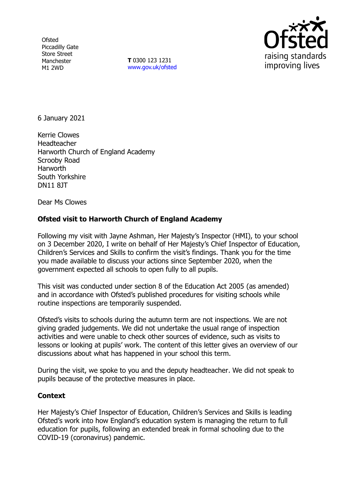**Ofsted** Piccadilly Gate Store Street Manchester M1 2WD

**T** 0300 123 1231 [www.gov.uk/ofsted](http://www.gov.uk/ofsted)



6 January 2021

Kerrie Clowes **Headteacher** Harworth Church of England Academy Scrooby Road Harworth South Yorkshire DN11 8JT

Dear Ms Clowes

## **Ofsted visit to Harworth Church of England Academy**

Following my visit with Jayne Ashman, Her Majesty's Inspector (HMI), to your school on 3 December 2020, I write on behalf of Her Majesty's Chief Inspector of Education, Children's Services and Skills to confirm the visit's findings. Thank you for the time you made available to discuss your actions since September 2020, when the government expected all schools to open fully to all pupils.

This visit was conducted under section 8 of the Education Act 2005 (as amended) and in accordance with Ofsted's published procedures for visiting schools while routine inspections are temporarily suspended.

Ofsted's visits to schools during the autumn term are not inspections. We are not giving graded judgements. We did not undertake the usual range of inspection activities and were unable to check other sources of evidence, such as visits to lessons or looking at pupils' work. The content of this letter gives an overview of our discussions about what has happened in your school this term.

During the visit, we spoke to you and the deputy headteacher. We did not speak to pupils because of the protective measures in place.

## **Context**

Her Majesty's Chief Inspector of Education, Children's Services and Skills is leading Ofsted's work into how England's education system is managing the return to full education for pupils, following an extended break in formal schooling due to the COVID-19 (coronavirus) pandemic.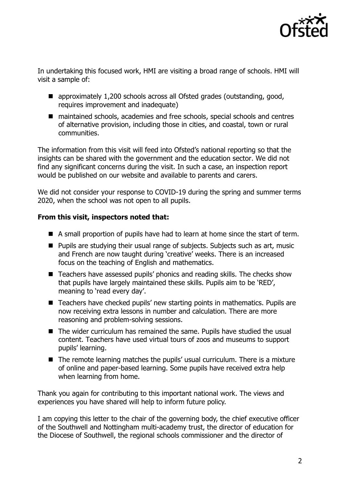

In undertaking this focused work, HMI are visiting a broad range of schools. HMI will visit a sample of:

- approximately 1,200 schools across all Ofsted grades (outstanding, good, requires improvement and inadequate)
- maintained schools, academies and free schools, special schools and centres of alternative provision, including those in cities, and coastal, town or rural communities.

The information from this visit will feed into Ofsted's national reporting so that the insights can be shared with the government and the education sector. We did not find any significant concerns during the visit. In such a case, an inspection report would be published on our website and available to parents and carers.

We did not consider your response to COVID-19 during the spring and summer terms 2020, when the school was not open to all pupils.

## **From this visit, inspectors noted that:**

- A small proportion of pupils have had to learn at home since the start of term.
- Pupils are studying their usual range of subjects. Subjects such as art, music and French are now taught during 'creative' weeks. There is an increased focus on the teaching of English and mathematics.
- Teachers have assessed pupils' phonics and reading skills. The checks show that pupils have largely maintained these skills. Pupils aim to be 'RED', meaning to 'read every day'.
- Teachers have checked pupils' new starting points in mathematics. Pupils are now receiving extra lessons in number and calculation. There are more reasoning and problem-solving sessions.
- The wider curriculum has remained the same. Pupils have studied the usual content. Teachers have used virtual tours of zoos and museums to support pupils' learning.
- The remote learning matches the pupils' usual curriculum. There is a mixture of online and paper-based learning. Some pupils have received extra help when learning from home.

Thank you again for contributing to this important national work. The views and experiences you have shared will help to inform future policy.

I am copying this letter to the chair of the governing body, the chief executive officer of the Southwell and Nottingham multi-academy trust, the director of education for the Diocese of Southwell, the regional schools commissioner and the director of